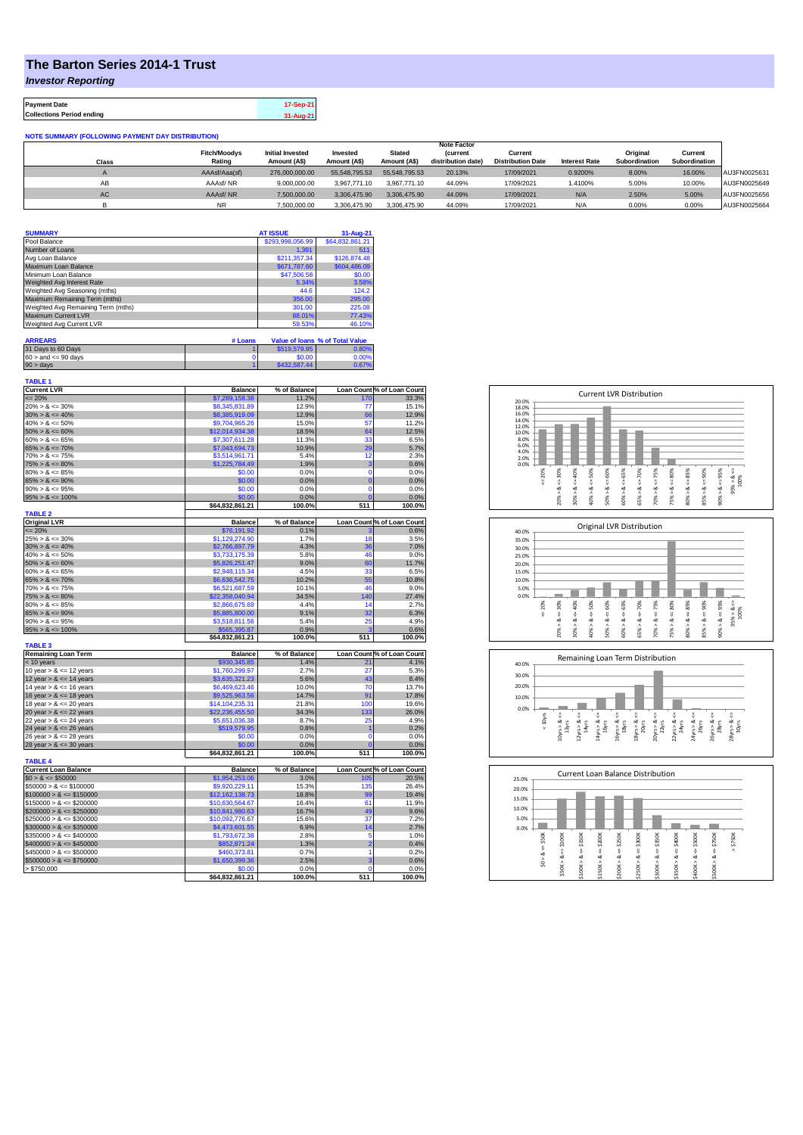## **The Barton Series 2014-1 Trust**

*Investor Reporting*

**Payment Date 17-Sep-21 Collections Period ending 31-Aug-21**

**NOTE SUMMARY (FOLLOWING PAYMENT DAY DISTRIBUTION)**

|       |                     | <b>Note Factor</b>      |               |               |                    |                          |                      |               |               |              |
|-------|---------------------|-------------------------|---------------|---------------|--------------------|--------------------------|----------------------|---------------|---------------|--------------|
|       | <b>Fitch/Moodvs</b> | <b>Initial Invested</b> | Invested      | <b>Stated</b> | <b>(current</b>    | Current                  |                      | Original      | Current       |              |
| Class | Rating              | Amount (AS)             | Amount (A\$)  | Amount (A\$)  | distribution date) | <b>Distribution Date</b> | <b>Interest Rate</b> | Subordination | Subordination |              |
|       | AAAsf/Aaa(sf)       | 276,000,000.00          | 55.548.795.53 | 55.548.795.53 | 20.13%             | 17/09/2021               | 0.9200%              | 8.00%         | 16.00%        | AU3FN0025631 |
| AB    | AAAsf/NR            | 9,000,000.00            | 3.967.771.10  | 3.967.771.10  | 44.09%             | 17/09/2021               | 1.4100%              | 5.00%         | 10.00%        | AU3FN0025649 |
| AC    | AAAsf/NR            | 7,500,000.00            | 3.306.475.90  | 3.306.475.90  | 44.09%             | 17/09/2021               | N/A                  | 2.50%         | 5.00%         | AU3FN0025656 |
|       | <b>NR</b>           | 7.500.000.00            | 3.306.475.90  | 3.306.475.90  | 44.09%             | 17/09/2021               | N/A                  | 0.00%         | 0.00%         | AU3FN0025664 |

| <b>SUMMARY</b>                     | <b>AT ISSUE</b>  | 31-Aug-21       |
|------------------------------------|------------------|-----------------|
| Pool Balance                       | \$293,998,056.99 | \$64,832,861.21 |
| Number of Loans                    | 1.391            | 511             |
| Avg Loan Balance                   | \$211,357.34     | \$126,874.48    |
| Maximum Loan Balance               | \$671,787.60     | \$604,486.09    |
| Minimum Loan Balance               | \$47,506.58      | \$0.00          |
| Weighted Avg Interest Rate         | 5.34%            | 3.58%           |
| Weighted Avg Seasoning (mths)      | 44.6             | 124.2           |
| Maximum Remaining Term (mths)      | 356.00           | 295.00          |
| Weighted Avg Remaining Term (mths) | 301.00           | 225.08          |
| Maximum Current LVR                | 88.01%           | 77.43%          |
| Weighted Avg Current LVR           | 59.53%           | 46.10%          |

| <b>ARREARS</b>            | # Loans |              | Value of Ioans % of Total Value |
|---------------------------|---------|--------------|---------------------------------|
| 31 Days to 60 Days        |         | \$519,579.95 | 0.80%                           |
| $60 >$ and $\leq 90$ days |         | \$0.00       | 0.00%                           |
| $90 >$ days               |         | \$432,587.44 | 0.67%                           |

| <b>TABLE 1</b><br><b>Current LVR</b>       |                                   |                       |                               |                                     |
|--------------------------------------------|-----------------------------------|-----------------------|-------------------------------|-------------------------------------|
| $= 20%$                                    | <b>Balance</b><br>\$7,289,158,38  | % of Balance<br>11.2% | 170                           | Loan Count % of Loan Count<br>33.3% |
| $20\% > 8 \le 30\%$                        | \$8,345,831.89                    | 12.9%                 | 77                            | 15.1%                               |
| $30\% > 8 \le 40\%$                        | \$8,385,919.09                    | 12.9%                 | 66                            | 12.9%                               |
| $40\% > 8 \le 50\%$                        |                                   | 15.0%                 | 57                            | 11.2%                               |
| $50\% > 8 \le 60\%$                        | \$9,704,965.26<br>\$12,014,934.38 | 18.5%                 | 64                            | 12.5%                               |
| $60\% > 8 \le 65\%$                        | \$7,307,611.28                    | 11.3%                 | 33                            | 6.5%                                |
|                                            |                                   |                       | 29                            |                                     |
| $65\% > 8 \le 70\%$<br>$70\% > 8 \le 75\%$ | \$7,043,694.73                    | 10.9%<br>5.4%         | 12                            | 5.7%<br>2.3%                        |
|                                            | \$3,514,961.71                    | 1.9%                  | 3                             |                                     |
| $75\% > 8 \le 80\%$                        | \$1,225,784.49                    |                       |                               | 0.6%                                |
| $80\% > 8 \le 85\%$<br>$85\% > 8 \le 90\%$ | \$0.00<br>\$0.00                  | 0.0%                  | $\mathbf 0$<br>$\overline{0}$ | 0.0%                                |
| $90\% > 8 \le 95\%$                        | \$0.00                            | 0.0%<br>0.0%          | $\mathbf 0$                   | 0.0%<br>0.0%                        |
|                                            |                                   |                       |                               |                                     |
| $95\% > 8 \le 100\%$                       | \$0.00                            | 0.0%                  | $\Omega$                      | 0.0%                                |
| <b>TABLE 2</b>                             | \$64,832,861.21                   | 100.0%                | 511                           | 100.0%                              |
| <b>Original LVR</b>                        | <b>Balance</b>                    | % of Balance          |                               | Loan Count % of Loan Count          |
| $= 20%$                                    | \$76,191.92                       | 0.1%                  |                               | 0.6%                                |
| $25\% > 8 \le 30\%$                        | \$1,129,274.90                    | 1.7%                  | 18                            | 3.5%                                |
| $30\% > 8 \le 40\%$                        | \$2,766,897.79                    | 4.3%                  | 36                            | 7.0%                                |
| $40\% > 8 \le 50\%$                        | \$3,733,175.39                    | 5.8%                  | 46                            | 9.0%                                |
| $50\% > 8 \le 60\%$                        | \$5,826,251.47                    | 9.0%                  | 60                            | 11.7%                               |
| $60\% > 8 \le 65\%$                        | \$2,948,115.34                    | 4.5%                  | 33                            | 6.5%                                |
| $65\% > 8 \le 70\%$                        | \$6,636,542.75                    | 10.2%                 | 55                            | 10.8%                               |
| $70\% > 8 \le 75\%$                        | \$6,521,687.59                    | 10.1%                 | 46                            | 9.0%                                |
| $75\% > 8 \le 80\%$                        | \$22,358,040.94                   | 34.5%                 | 140                           | 27.4%                               |
| $80\% > 8 \le 85\%$                        | \$2,866,675.69                    | 4.4%                  | 14                            | 2.7%                                |
| $85\% > 8 \le 90\%$                        | \$5,885,800.00                    | 9.1%                  | 32                            | 6.3%                                |
| $90\% > 8 \le 95\%$                        | \$3,518,811.56                    | 5.4%                  | 25                            | 4.9%                                |
| $95\% > 8 \le 100\%$                       | \$565,395.87                      | 0.9%                  | s                             | 0.6%                                |
|                                            | \$64,832,861.21                   | 100.0%                | 511                           | 100.0%                              |
| <b>TABLE 3</b>                             |                                   |                       |                               |                                     |
| <b>Remaining Loan Term</b>                 | <b>Balance</b>                    | % of Balance          |                               | Loan Count % of Loan Count          |
| < 10 years                                 | \$930,345.85                      | 1.4%                  | 21                            | 4.1%                                |
| 10 year $> 8 \le 12$ years                 | \$1,760,299.97                    | 2.7%                  | 27                            | 5.3%                                |
| 12 year $> 8 \le 14$ years                 | \$3,635,321.23                    | 5.6%                  | 43                            | 8.4%                                |
| 14 year $> 8 \le 16$ years                 | \$6,469,623.46                    | 10.0%                 | 70                            | 13.7%                               |
| 16 year $> 8 \le 18$ years                 | \$9,525,963.56                    | 14.7%                 | 91                            | 17.8%                               |
| 18 year $> 8 \le 20$ years                 | \$14,104,235.31                   | 21.8%                 | 100                           | 19.6%                               |
| 20 year $> 8 \le 22$ years                 | \$22,236,455.50                   | 34.3%                 | 133                           | 26.0%                               |
| 22 year $> 8 \le 24$ years                 | \$5,651,036.38                    | 8.7%                  | 25                            | 4.9%                                |
| 24 year $> 8 \le 26$ years                 | \$519,579.95                      | 0.8%                  | 1                             | 0.2%                                |
| 26 year $> 8 \le 28$ years                 | \$0.00                            | 0.0%                  | $\mathbf 0$                   | 0.0%                                |
| 28 year $> 8 \le 30$ years                 | \$0.00                            | 0.0%                  | $\overline{0}$                | 0.0%                                |
| <b>TABLE 4</b>                             | \$64,832,861.21                   | 100.0%                | 511                           | 100.0%                              |
| <b>Current Loan Balance</b>                | <b>Balance</b>                    | % of Balance          |                               | Loan Count % of Loan Count          |
| $$0 > 8 \le $50000$                        | \$1,954,253.06                    | 3.0%                  | 105                           | 20.5%                               |
| $$50000 > 8 \le $100000$                   | \$9,920,229.11                    | 15.3%                 | 135                           | 26.4%                               |
| $$100000 > 8 \le $150000$                  | \$12,162,138.73                   | 18.8%                 | 99                            | 19.4%                               |
| $$150000 > 8 \leq $200000$                 | \$10,630,564.67                   | 16.4%                 | 61                            | 11.9%                               |
| $$200000 > 8 \leq $250000$                 | \$10,841,980.63                   | 16.7%                 | 49                            | 9.6%                                |
| $$250000 > 8 \le $300000$                  | \$10,092,776.67                   | 15.6%                 | 37                            | 7.2%                                |
| $$300000 > 8 \leq $350000$                 | \$4,473,601.55                    | 6.9%                  | 14                            | 2.7%                                |
| $$350000 > 8 \le $400000$                  | \$1,793,672.38                    | 2.8%                  | 5                             | 1.0%                                |
| $$400000 > 8 \le $450000$                  | \$852,871.24                      | 1.3%                  | $\overline{2}$                | 0.4%                                |
| $$450000 > 8 \le $500000$                  | \$460,373.81                      | 0.7%                  | 1                             | 0.2%                                |
| $$500000 > 8 \le $750000$                  | \$1,650,399.36                    | 2.5%                  | 3                             | 0.6%                                |
| > \$750,000                                | \$0.00                            | 0.0%                  | $\Omega$                      | 0.0%                                |
|                                            | \$64,832,861.21                   | 100.0%                | 511                           | 100.0%                              |
|                                            |                                   |                       |                               |                                     |







| 25.0% |       |         |        |         | <b>Current Loan Balance Distribution</b> |        |        |        |        |        |        |
|-------|-------|---------|--------|---------|------------------------------------------|--------|--------|--------|--------|--------|--------|
| 20.0% |       |         |        |         |                                          |        |        |        |        |        |        |
| 15.0% |       |         |        |         |                                          |        |        |        |        |        |        |
| 10.0% |       |         |        |         |                                          |        |        |        |        |        |        |
| 5.0%  |       |         |        |         |                                          |        |        |        |        |        |        |
| 0.0%  |       |         |        |         |                                          |        |        |        |        |        |        |
|       | \$50K | \$100K  | \$150K | \$200K  | \$250K                                   | \$300K | \$350K | \$400K | \$500K | \$750K | \$750K |
|       | ő     |         |        |         |                                          |        |        |        |        |        | Λ      |
|       | œ     | ć.<br>જ | ₩<br>œ | V<br>ಹ  | ₩<br>œ                                   | ₩<br>∞ | ₩<br>œ | ű<br>∞ | œ      | ₩<br>త |        |
|       | S.    |         | Λ      |         | л                                        | ٨      | ۸      | ٨      |        | Λ      |        |
|       |       | \$50K>  | \$100K | \$150K> | \$200K                                   | \$250K | \$300K | \$350K | \$400K | \$500K |        |
|       |       |         |        |         |                                          |        |        |        |        |        |        |